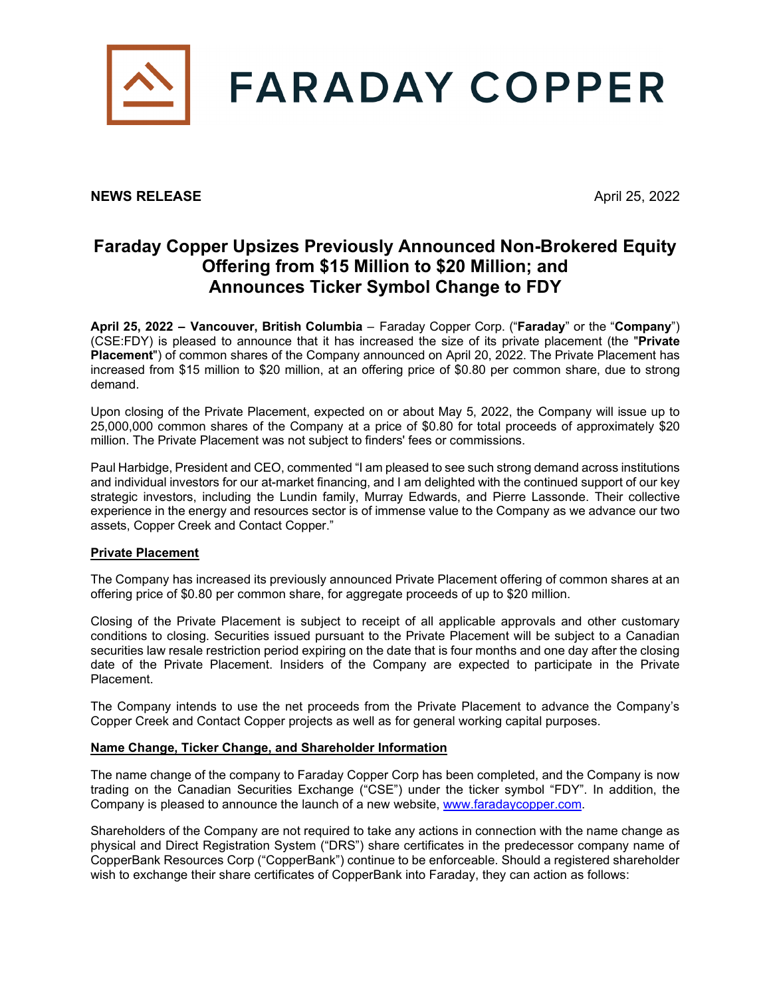

## **NEWS RELEASE** April 25, 2022

# **Faraday Copper Upsizes Previously Announced Non-Brokered Equity Offering from \$15 Million to \$20 Million; and Announces Ticker Symbol Change to FDY**

**April 25, 2022 – Vancouver, British Columbia** – Faraday Copper Corp. ("**Faraday**" or the "**Company**") (CSE:FDY) is pleased to announce that it has increased the size of its private placement (the "**Private Placement**") of common shares of the Company announced on April 20, 2022. The Private Placement has increased from \$15 million to \$20 million, at an offering price of \$0.80 per common share, due to strong demand.

Upon closing of the Private Placement, expected on or about May 5, 2022, the Company will issue up to 25,000,000 common shares of the Company at a price of \$0.80 for total proceeds of approximately \$20 million. The Private Placement was not subject to finders' fees or commissions.

Paul Harbidge, President and CEO, commented "I am pleased to see such strong demand across institutions and individual investors for our at-market financing, and I am delighted with the continued support of our key strategic investors, including the Lundin family, Murray Edwards, and Pierre Lassonde. Their collective experience in the energy and resources sector is of immense value to the Company as we advance our two assets, Copper Creek and Contact Copper."

### **Private Placement**

The Company has increased its previously announced Private Placement offering of common shares at an offering price of \$0.80 per common share, for aggregate proceeds of up to \$20 million.

Closing of the Private Placement is subject to receipt of all applicable approvals and other customary conditions to closing. Securities issued pursuant to the Private Placement will be subject to a Canadian securities law resale restriction period expiring on the date that is four months and one day after the closing date of the Private Placement. Insiders of the Company are expected to participate in the Private Placement.

The Company intends to use the net proceeds from the Private Placement to advance the Company's Copper Creek and Contact Copper projects as well as for general working capital purposes.

### **Name Change, Ticker Change, and Shareholder Information**

The name change of the company to Faraday Copper Corp has been completed, and the Company is now trading on the Canadian Securities Exchange ("CSE") under the ticker symbol "FDY". In addition, the Company is pleased to announce the launch of a new website, [www.faradaycopper.com.](http://www.faradaycopper.com/)

Shareholders of the Company are not required to take any actions in connection with the name change as physical and Direct Registration System ("DRS") share certificates in the predecessor company name of CopperBank Resources Corp ("CopperBank") continue to be enforceable. Should a registered shareholder wish to exchange their share certificates of CopperBank into Faraday, they can action as follows: